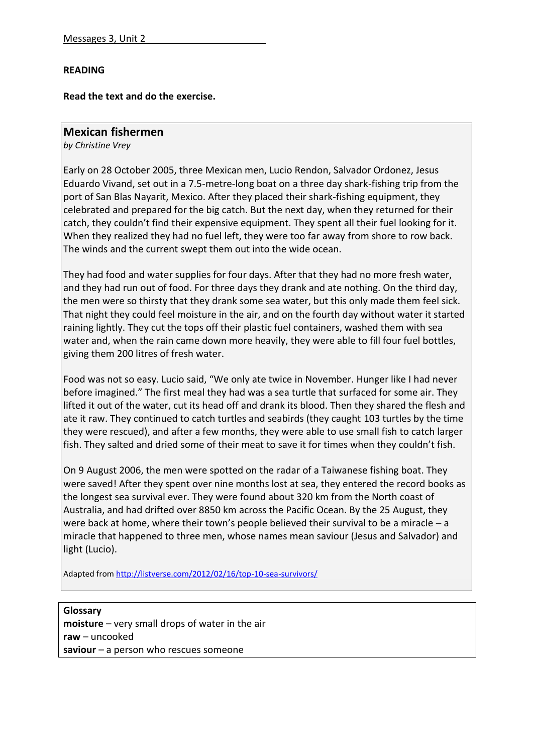## **READING**

**Read the text and do the exercise.**

## **Mexican fishermen**

*by Christine Vrey*

Early on 28 October 2005, three Mexican men, Lucio Rendon, Salvador Ordonez, Jesus Eduardo Vivand, set out in a 7.5-metre-long boat on a three day shark-fishing trip from the port of San Blas Nayarit, Mexico. After they placed their shark-fishing equipment, they celebrated and prepared for the big catch. But the next day, when they returned for their catch, they couldn't find their expensive equipment. They spent all their fuel looking for it. When they realized they had no fuel left, they were too far away from shore to row back. The winds and the current swept them out into the wide ocean.

They had food and water supplies for four days. After that they had no more fresh water, and they had run out of food. For three days they drank and ate nothing. On the third day, the men were so thirsty that they drank some sea water, but this only made them feel sick. That night they could feel moisture in the air, and on the fourth day without water it started raining lightly. They cut the tops off their plastic fuel containers, washed them with sea water and, when the rain came down more heavily, they were able to fill four fuel bottles, giving them 200 litres of fresh water.

Food was not so easy. Lucio said, "We only ate twice in November. Hunger like I had never before imagined." The first meal they had was a sea turtle that surfaced for some air. They lifted it out of the water, cut its head off and drank its blood. Then they shared the flesh and ate it raw. They continued to catch turtles and seabirds (they caught 103 turtles by the time they were rescued), and after a few months, they were able to use small fish to catch larger fish. They salted and dried some of their meat to save it for times when they couldn't fish.

On 9 August 2006, the men were spotted on the radar of a Taiwanese fishing boat. They were saved! After they spent over nine months lost at sea, they entered the record books as the longest sea survival ever. They were found about 320 km from the North coast of Australia, and had drifted over 8850 km across the Pacific Ocean. By the 25 August, they were back at home, where their town's people believed their survival to be a miracle – a miracle that happened to three men, whose names mean saviour (Jesus and Salvador) and light (Lucio).

Adapted from<http://listverse.com/2012/02/16/top-10-sea-survivors/>

**Glossary moisture** – very small drops of water in the air **raw** – uncooked **saviour** – a person who rescues someone